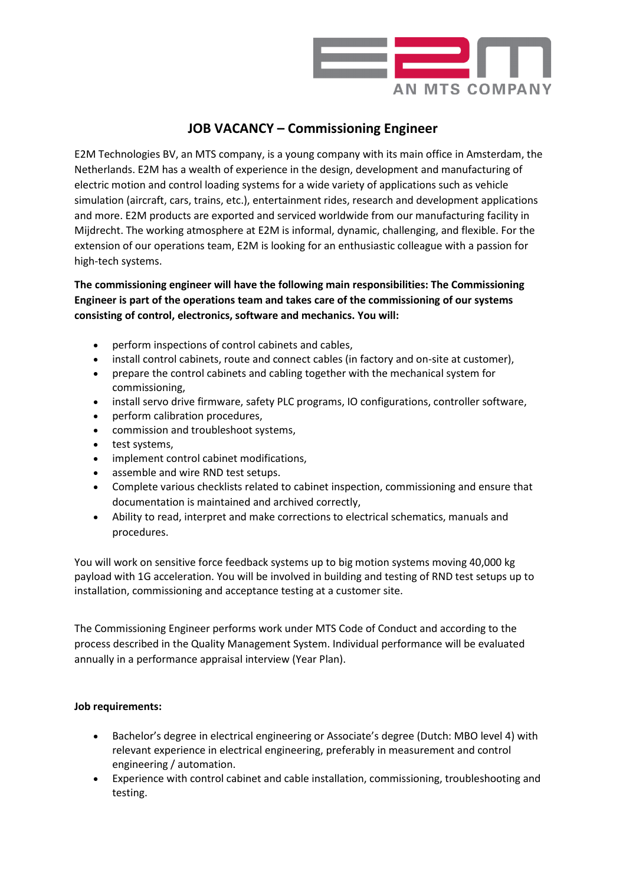

## **JOB VACANCY – Commissioning Engineer**

E2M Technologies BV, an MTS company, is a young company with its main office in Amsterdam, the Netherlands. E2M has a wealth of experience in the design, development and manufacturing of electric motion and control loading systems for a wide variety of applications such as vehicle simulation (aircraft, cars, trains, etc.), entertainment rides, research and development applications and more. E2M products are exported and serviced worldwide from our manufacturing facility in Mijdrecht. The working atmosphere at E2M is informal, dynamic, challenging, and flexible. For the extension of our operations team, E2M is looking for an enthusiastic colleague with a passion for high-tech systems.

**The commissioning engineer will have the following main responsibilities: The Commissioning Engineer is part of the operations team and takes care of the commissioning of our systems consisting of control, electronics, software and mechanics. You will:**

- perform inspections of control cabinets and cables,
- install control cabinets, route and connect cables (in factory and on-site at customer),
- prepare the control cabinets and cabling together with the mechanical system for commissioning,
- install servo drive firmware, safety PLC programs, IO configurations, controller software,
- perform calibration procedures,
- commission and troubleshoot systems,
- test systems,
- implement control cabinet modifications,
- assemble and wire RND test setups.
- Complete various checklists related to cabinet inspection, commissioning and ensure that documentation is maintained and archived correctly,
- Ability to read, interpret and make corrections to electrical schematics, manuals and procedures.

You will work on sensitive force feedback systems up to big motion systems moving 40,000 kg payload with 1G acceleration. You will be involved in building and testing of RND test setups up to installation, commissioning and acceptance testing at a customer site.

The Commissioning Engineer performs work under MTS Code of Conduct and according to the process described in the Quality Management System. Individual performance will be evaluated annually in a performance appraisal interview (Year Plan).

## **Job requirements:**

- Bachelor's degree in electrical engineering or Associate's degree (Dutch: MBO level 4) with relevant experience in electrical engineering, preferably in measurement and control engineering / automation.
- Experience with control cabinet and cable installation, commissioning, troubleshooting and testing.